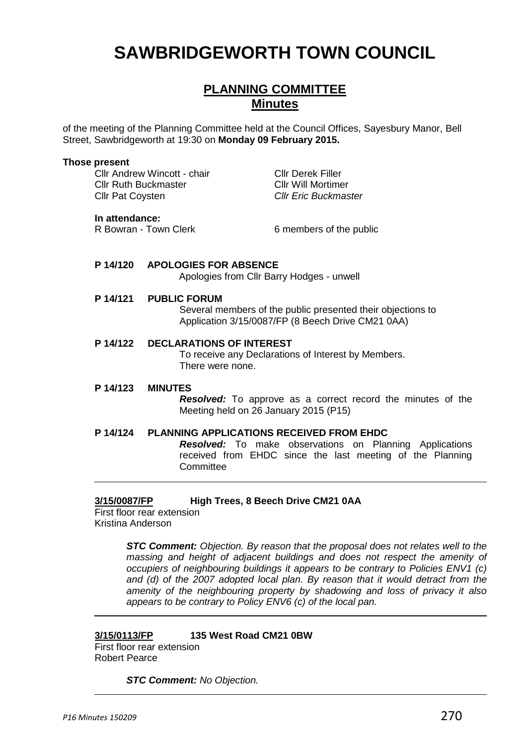# **SAWBRIDGEWORTH TOWN COUNCIL**

# **PLANNING COMMITTEE Minutes**

of the meeting of the Planning Committee held at the Council Offices, Sayesbury Manor, Bell Street, Sawbridgeworth at 19:30 on **Monday 09 February 2015.**

#### **Those present**

Cllr Andrew Wincott - chair Cllr Derek Filler Cllr Ruth Buckmaster Cllr Will Mortimer Cllr Pat Coysten *Cllr Eric Buckmaster*

#### **In attendance:**

R Bowran - Town Clerk 6 members of the public

#### **P 14/120 APOLOGIES FOR ABSENCE**

Apologies from Cllr Barry Hodges - unwell

#### **P 14/121 PUBLIC FORUM**

Several members of the public presented their objections to Application 3/15/0087/FP (8 Beech Drive CM21 0AA)

# **P 14/122 DECLARATIONS OF INTEREST**

To receive any Declarations of Interest by Members. There were none.

#### **P 14/123 MINUTES**

*Resolved:* To approve as a correct record the minutes of the Meeting held on 26 January 2015 (P15)

#### **P 14/124 PLANNING APPLICATIONS RECEIVED FROM EHDC**

*Resolved:* To make observations on Planning Applications received from EHDC since the last meeting of the Planning **Committee** 

## **3/15/0087/FP High Trees, 8 Beech Drive CM21 0AA**

First floor rear extension Kristina Anderson

> *STC Comment: Objection. By reason that the proposal does not relates well to the massing and height of adjacent buildings and does not respect the amenity of occupiers of neighbouring buildings it appears to be contrary to Policies ENV1 (c) and (d) of the 2007 adopted local plan. By reason that it would detract from the amenity of the neighbouring property by shadowing and loss of privacy it also appears to be contrary to Policy ENV6 (c) of the local pan.*

# **3/15/0113/FP 135 West Road CM21 0BW**

First floor rear extension Robert Pearce

*STC Comment: No Objection.*